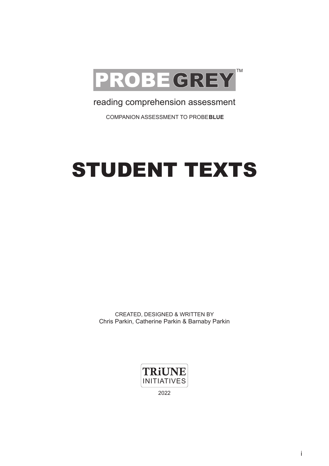

reading comprehension assessment

COMPANION ASSESSMENT TO PROBE**BLUE**

# STUDENT TEXTS

CREATED, DESIGNED & WRITTEN BY Chris Parkin, Catherine Parkin & Barnaby Parkin

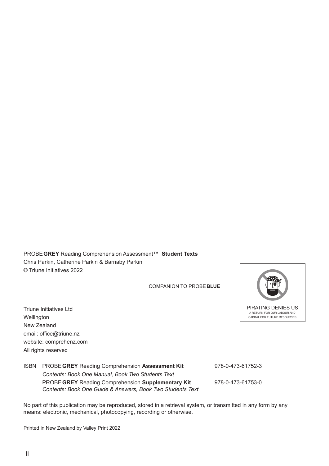PROBE **GREY** Reading Comprehension Assessment™ **Student Texts** Chris Parkin, Catherine Parkin & Barnaby Parkin © Triune Initiatives 2022

COMPANION TO PROBE**BLUE**

Triune Initiatives Ltd **Wellington** New Zealand email: office@triune.nz website: comprehenz.com All rights reserved



#### ISBN PROBE **GREY** Reading Comprehension **Assessment Kit** 978-0-473-61752-3 *Contents: Book One Manual, Book Two Students Text* PROBE **GREY** Reading Comprehension **Supplementary Kit** 978-0-473-61753-0 *Contents: Book One Guide & Answers, Book Two Students Text*

No part of this publication may be reproduced, stored in a retrieval system, or transmitted in any form by any means: electronic, mechanical, photocopying, recording or otherwise.

Printed in New Zealand by Valley Print 2022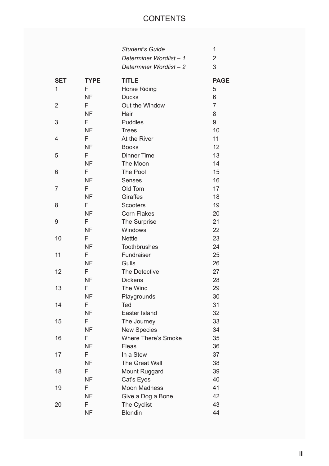# **CONTENTS**

|            |             | <b>Student's Guide</b>     | 1              |
|------------|-------------|----------------------------|----------------|
|            |             | Determiner Wordlist-1      | 2              |
|            |             | Determiner Wordlist-2      | 3              |
| <b>SET</b> | <b>TYPE</b> | <b>TITLE</b>               | <b>PAGE</b>    |
| 1          | F           | <b>Horse Riding</b>        | 5              |
|            | <b>NF</b>   | <b>Ducks</b>               | 6              |
| 2          | F           | Out the Window             | $\overline{7}$ |
|            | <b>NF</b>   | Hair                       | 8              |
| 3          | F           | <b>Puddles</b>             | 9              |
|            | <b>NF</b>   | <b>Trees</b>               | 10             |
| 4          | F           | At the River               | 11             |
|            | <b>NF</b>   | <b>Books</b>               | 12             |
| 5          | F           | <b>Dinner Time</b>         | 13             |
|            | <b>NF</b>   | The Moon                   | 14             |
| 6          | F           | The Pool                   | 15             |
|            | <b>NF</b>   | <b>Senses</b>              | 16             |
| 7          | F           | Old Tom                    | 17             |
|            | <b>NF</b>   | <b>Giraffes</b>            | 18             |
| 8          | F           | <b>Scooters</b>            | 19             |
|            | <b>NF</b>   | <b>Corn Flakes</b>         | 20             |
| 9          | F           | The Surprise               | 21             |
|            | <b>NF</b>   | Windows                    | 22             |
| 10         | F           | <b>Nettie</b>              | 23             |
|            | <b>NF</b>   | <b>Toothbrushes</b>        | 24             |
| 11         | F           | Fundraiser                 | 25             |
|            | <b>NF</b>   | Gulls                      | 26             |
| 12         | F           | The Detective              | 27             |
|            | <b>NF</b>   | <b>Dickens</b>             | 28             |
| 13         | F           | The Wind                   | 29             |
|            | <b>NF</b>   | Playgrounds                | 30             |
| 14         | F           | Ted                        | 31             |
|            | <b>NF</b>   | Easter Island              | 32             |
| 15         | F           | The Journey                | 33             |
|            | NF          | <b>New Species</b>         | 34             |
| 16         | F           | <b>Where There's Smoke</b> | 35             |
|            | <b>NF</b>   | Fleas                      | 36             |
| 17         | F           | In a Stew                  | 37             |
|            | NF          | The Great Wall             | 38             |
| 18         | F           | Mount Ruggard              | 39             |
|            | <b>NF</b>   | Cat's Eyes                 | 40             |
| 19         | F           | <b>Moon Madness</b>        | 41             |
|            | NF          | Give a Dog a Bone          | 42             |
| 20         | F           | The Cyclist                | 43             |
|            | <b>NF</b>   | <b>Blondin</b>             | 44             |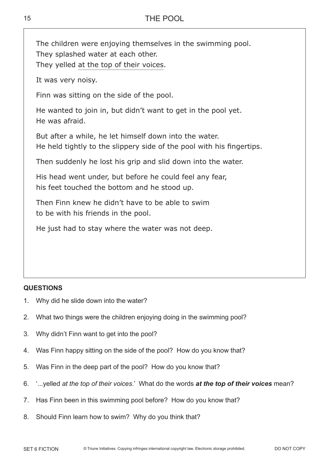15

| The children were enjoying themselves in the swimming pool.<br>They splashed water at each other.<br>They yelled at the top of their voices. |
|----------------------------------------------------------------------------------------------------------------------------------------------|
| It was very noisy.                                                                                                                           |
| Finn was sitting on the side of the pool.                                                                                                    |
| He wanted to join in, but didn't want to get in the pool yet.<br>He was afraid.                                                              |
| But after a while, he let himself down into the water.<br>He held tightly to the slippery side of the pool with his fingertips.              |
| Then suddenly he lost his grip and slid down into the water.                                                                                 |
| His head went under, but before he could feel any fear,<br>his feet touched the bottom and he stood up.                                      |
| Then Finn knew he didn't have to be able to swim<br>to be with his friends in the pool.                                                      |
| He just had to stay where the water was not deep.                                                                                            |

- 1. Why did he slide down into the water?
- 2. What two things were the children enjoying doing in the swimming pool?
- 3. Why didn't Finn want to get into the pool?
- 4. Was Finn happy sitting on the side of the pool? How do you know that?
- 5. Was Finn in the deep part of the pool? How do you know that?
- 6. '...yelled *at the top of their voices*.' What do the words *at the top of their voices* mean?
- 7. Has Finn been in this swimming pool before? How do you know that?
- 8. Should Finn learn how to swim? Why do you think that?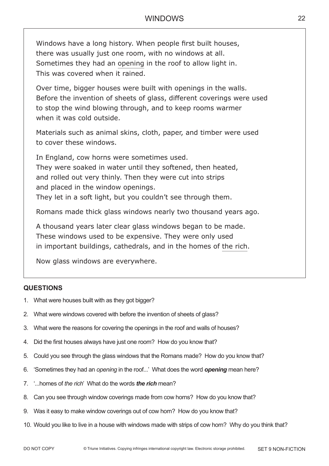Windows have a long history. When people first built houses, there was usually just one room, with no windows at all. Sometimes they had an opening in the roof to allow light in. This was covered when it rained.

Over time, bigger houses were built with openings in the walls. Before the invention of sheets of glass, different coverings were used to stop the wind blowing through, and to keep rooms warmer when it was cold outside.

Materials such as animal skins, cloth, paper, and timber were used to cover these windows.

In England, cow horns were sometimes used. They were soaked in water until they softened, then heated, and rolled out very thinly. Then they were cut into strips and placed in the window openings. They let in a soft light, but you couldn't see through them.

Romans made thick glass windows nearly two thousand years ago.

A thousand years later clear glass windows began to be made. These windows used to be expensive. They were only used in important buildings, cathedrals, and in the homes of the rich.

Now glass windows are everywhere.

- 1. What were houses built with as they got bigger?
- 2. What were windows covered with before the invention of sheets of glass?
- 3. What were the reasons for covering the openings in the roof and walls of houses?
- 4. Did the first houses always have just one room? How do you know that?
- 5. Could you see through the glass windows that the Romans made? How do you know that?
- 6. 'Sometimes they had an *opening* in the roof...' What does the word *opening* mean here?
- 7. '...homes of *the rich*' What do the words *the rich* mean?
- 8. Can you see through window coverings made from cow horns? How do you know that?
- 9. Was it easy to make window coverings out of cow horn? How do you know that?
- 10. Would you like to live in a house with windows made with strips of cow horn? Why do you think that?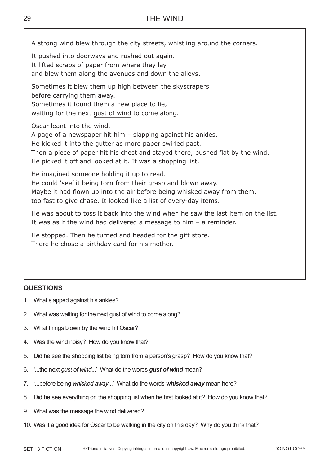A strong wind blew through the city streets, whistling around the corners.

It pushed into doorways and rushed out again. It lifted scraps of paper from where they lay

and blew them along the avenues and down the alleys.

Sometimes it blew them up high between the skyscrapers

before carrying them away.

Sometimes it found them a new place to lie,

waiting for the next gust of wind to come along.

Oscar leant into the wind.

A page of a newspaper hit him – slapping against his ankles.

He kicked it into the gutter as more paper swirled past.

Then a piece of paper hit his chest and stayed there, pushed flat by the wind. He picked it off and looked at it. It was a shopping list.

He imagined someone holding it up to read.

He could 'see' it being torn from their grasp and blown away.

Maybe it had flown up into the air before being whisked away from them,

too fast to give chase. It looked like a list of every-day items.

He was about to toss it back into the wind when he saw the last item on the list. It was as if the wind had delivered a message to him – a reminder.

He stopped. Then he turned and headed for the gift store. There he chose a birthday card for his mother.

- 1. What slapped against his ankles?
- 2. What was waiting for the next gust of wind to come along?
- 3. What things blown by the wind hit Oscar?
- 4. Was the wind noisy? How do you know that?
- 5. Did he see the shopping list being torn from a person's grasp? How do you know that?
- 6. '...the next *gust of wind*...' What do the words *gust of wind* mean?
- 7. '...before being *whisked away*...' What do the words *whisked away* mean here?
- 8. Did he see everything on the shopping list when he first looked at it? How do you know that?
- 9. What was the message the wind delivered?
- 10. Was it a good idea for Oscar to be walking in the city on this day? Why do you think that?